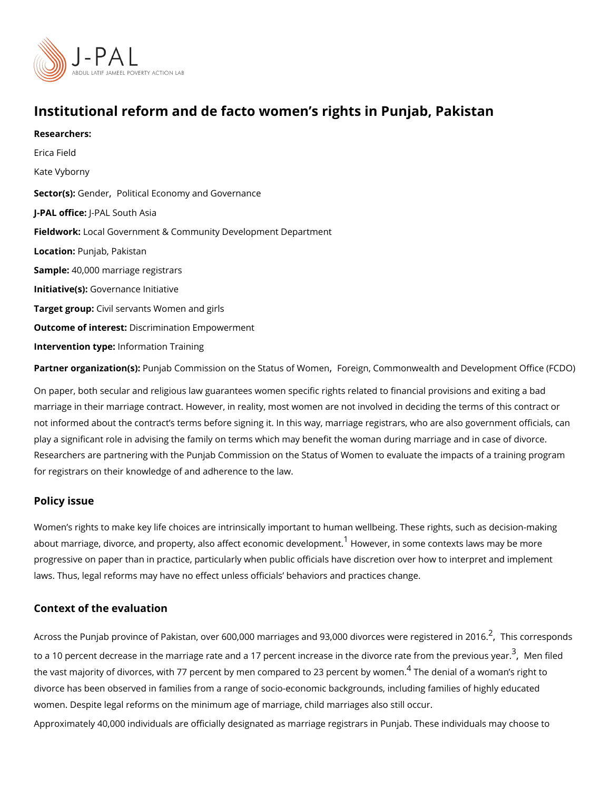# Institutional reform and de facto women s rights in Punjab,

Researchers:

[Erica F](https://www.povertyactionlab.org/person/field)ield

Kate Vyborny

Sector(G):nde[Political Economy and](https://www.povertyactionlab.org/sector/political-economy-governance) Governance

J-PAL of Ui-cReal South Asia

FieldwoLkocal Government & Community Development Department

Locatio Punjab, Pakistan

Sample: 0,000 marriage registrars

Initiative Gsoluernance Initiative

Target gro@pvil servants Women and girls

Outcome of inteDessdrimination Empowerment

Intervention thypfeormation Training

Partner organizatPum(ab: Commission on the Status of Women monwealth and Development (

On paper, both secular and religious law guarantees women specific rights related to fina marriage in their marriage contract. However, in reality, most women are not involved in d not informed about the contract s terms before signing it. In this way, marriage registrars play a significant role in advising the family on terms which may benefit the woman during Researchers are partnering with the Punjab Commission on the Status of Women to evaluate the impacts of a training program. for registrars on their knowledge of and adherence to the law.

### Policy issue

Women s rights to make key life choices are intrinsically important to human wellbeing. T about marriage, divorce, and property, also affe $\epsilon$ tHeoowoenvoennicindesvoeni**e**pomente.xts laws may be progressive on paper than in practice, particularly when public officials have discretion o laws. Thus, legal reforms may have no effect unless officials behaviors and practices ch

#### Context of the evaluation

Across the Punjab province of Pakistan[,](#page-2-0) over 600,000 marriages and 9 $\hat{\mathcal{S}}$ "000 istiovornces spowed to to a 10 percent decrease in the marriage rate and a 17 percent increase in  $^3$  $^3$ [,](#page-2-0) th Needivide cde rates of  $\alpha$ the vast majority of divorces, with 77 percent by men comp<sup>[4](#page-2-0)</sup>aTr**heel doe**n2i**3a**lpo**e**frcae nutobnyanw **s**mreignht divorce has been observed in families from a range of socio-economic backgrounds, including women. Despite legal reforms on the minimum himud minageneriangeneriange, still occur.

Approximately 40,000 individuals are officially designated as marriage registrars in Punja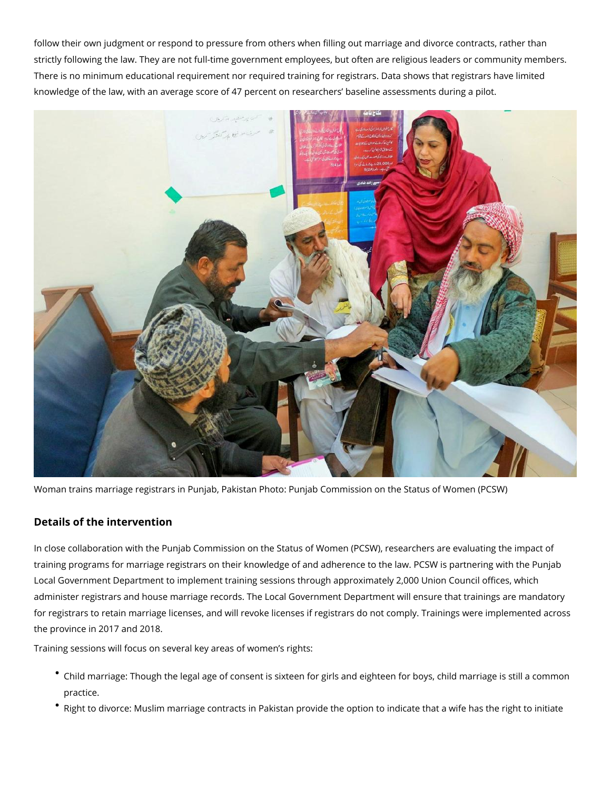follow their own judgment or respond to pressure from others when filling out marriage and divorce contracts, rather than strictly following the law. They are not full-time government employees, but often are religious leaders or community members. There is no minimum educational requirement nor required training for registrars. Data shows that registrars have limited knowledge of the law, with an average score of 47 percent on researchers' baseline assessments during a pilot.



Woman trains marriage registrars in Punjab, Pakistan Photo: Punjab Commission on the Status of Women (PCSW)

## **Details of the intervention**

In close collaboration with the Punjab Commission on the Status of Women (PCSW), researchers are evaluating the impact of training programs for marriage registrars on their knowledge of and adherence to the law. PCSW is partnering with the Punjab Local Government Department to implement training sessions through approximately 2,000 Union Council offices, which administer registrars and house marriage records. The Local Government Department will ensure that trainings are mandatory for registrars to retain marriage licenses, and will revoke licenses if registrars do not comply. Trainings were implemented across the province in 2017 and 2018.

Training sessions will focus on several key areas of women's rights:

- Child marriage: Though the legal age of consent is sixteen for girls and eighteen for boys, child marriage is still a common practice.
- Right to divorce: Muslim marriage contracts in Pakistan provide the option to indicate that a wife has the right to initiate